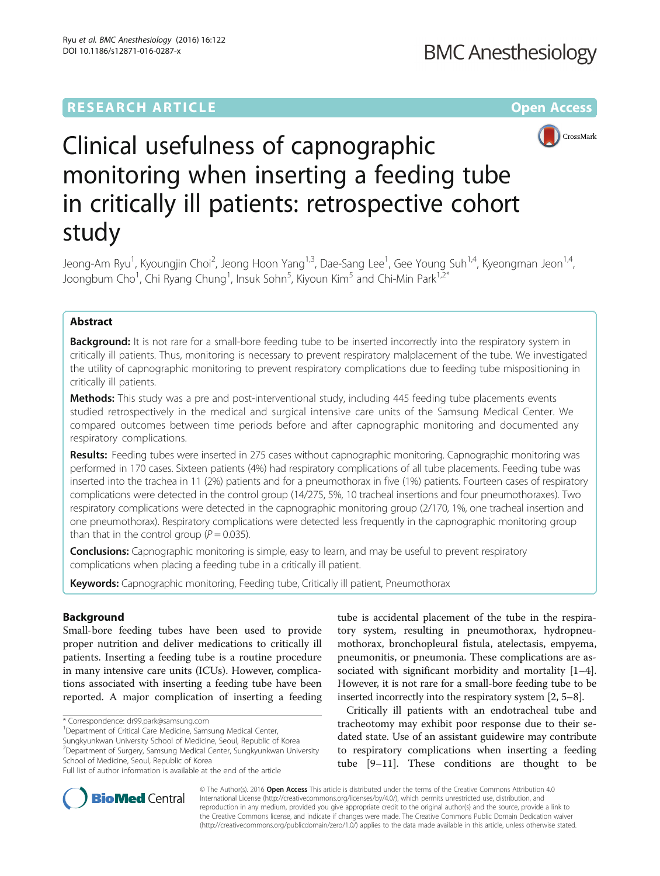# **RESEARCH ARTICLE Example 2014 12:30 The Contract of Contract ACCESS**



# Clinical usefulness of capnographic monitoring when inserting a feeding tube in critically ill patients: retrospective cohort study

Jeong-Am Ryu<sup>1</sup>, Kyoungjin Choi<sup>2</sup>, Jeong Hoon Yang<sup>1,3</sup>, Dae-Sang Lee<sup>1</sup>, Gee Young Suh<sup>1,4</sup>, Kyeongman Jeon<sup>1,4</sup>, Joongbum Cho<sup>1</sup>, Chi Ryang Chung<sup>1</sup>, Insuk Sohn<sup>5</sup>, Kiyoun Kim<sup>5</sup> and Chi-Min Park<sup>1,2\*</sup>

## Abstract

**Background:** It is not rare for a small-bore feeding tube to be inserted incorrectly into the respiratory system in critically ill patients. Thus, monitoring is necessary to prevent respiratory malplacement of the tube. We investigated the utility of capnographic monitoring to prevent respiratory complications due to feeding tube mispositioning in critically ill patients.

Methods: This study was a pre and post-interventional study, including 445 feeding tube placements events studied retrospectively in the medical and surgical intensive care units of the Samsung Medical Center. We compared outcomes between time periods before and after capnographic monitoring and documented any respiratory complications.

Results: Feeding tubes were inserted in 275 cases without capnographic monitoring. Capnographic monitoring was performed in 170 cases. Sixteen patients (4%) had respiratory complications of all tube placements. Feeding tube was inserted into the trachea in 11 (2%) patients and for a pneumothorax in five (1%) patients. Fourteen cases of respiratory complications were detected in the control group (14/275, 5%, 10 tracheal insertions and four pneumothoraxes). Two respiratory complications were detected in the capnographic monitoring group (2/170, 1%, one tracheal insertion and one pneumothorax). Respiratory complications were detected less frequently in the capnographic monitoring group than that in the control group ( $P = 0.035$ ).

**Conclusions:** Capnographic monitoring is simple, easy to learn, and may be useful to prevent respiratory complications when placing a feeding tube in a critically ill patient.

Keywords: Capnographic monitoring, Feeding tube, Critically ill patient, Pneumothorax

## Background

Small-bore feeding tubes have been used to provide proper nutrition and deliver medications to critically ill patients. Inserting a feeding tube is a routine procedure in many intensive care units (ICUs). However, complications associated with inserting a feeding tube have been reported. A major complication of inserting a feeding

<sup>1</sup>Department of Critical Care Medicine, Samsung Medical Center,

Sungkyunkwan University School of Medicine, Seoul, Republic of Korea

2 Department of Surgery, Samsung Medical Center, Sungkyunkwan University School of Medicine, Seoul, Republic of Korea

tube is accidental placement of the tube in the respiratory system, resulting in pneumothorax, hydropneumothorax, bronchopleural fistula, atelectasis, empyema, pneumonitis, or pneumonia. These complications are associated with significant morbidity and mortality [\[1](#page-5-0)–[4](#page-5-0)]. However, it is not rare for a small-bore feeding tube to be inserted incorrectly into the respiratory system [\[2](#page-5-0), [5](#page-5-0)–[8](#page-5-0)].

Critically ill patients with an endotracheal tube and tracheotomy may exhibit poor response due to their sedated state. Use of an assistant guidewire may contribute to respiratory complications when inserting a feeding tube [\[9](#page-5-0)–[11\]](#page-5-0). These conditions are thought to be



© The Author(s). 2016 Open Access This article is distributed under the terms of the Creative Commons Attribution 4.0 International License [\(http://creativecommons.org/licenses/by/4.0/](http://creativecommons.org/licenses/by/4.0/)), which permits unrestricted use, distribution, and reproduction in any medium, provided you give appropriate credit to the original author(s) and the source, provide a link to the Creative Commons license, and indicate if changes were made. The Creative Commons Public Domain Dedication waiver [\(http://creativecommons.org/publicdomain/zero/1.0/](http://creativecommons.org/publicdomain/zero/1.0/)) applies to the data made available in this article, unless otherwise stated.

<sup>\*</sup> Correspondence: [dr99.park@samsung.com](mailto:dr99.park@samsung.com) <sup>1</sup>

Full list of author information is available at the end of the article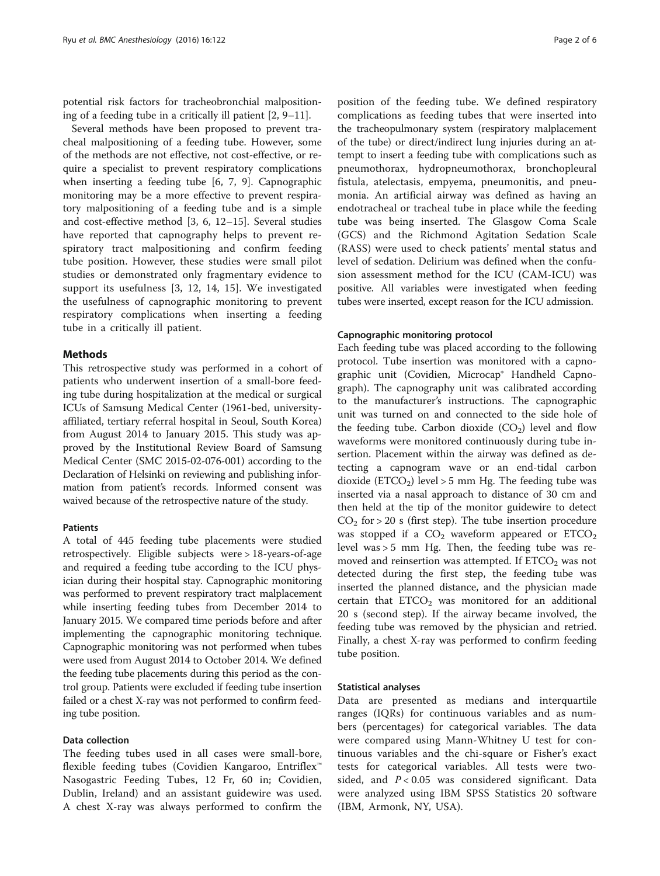potential risk factors for tracheobronchial malpositioning of a feeding tube in a critically ill patient [[2, 9](#page-5-0)–[11\]](#page-5-0).

Several methods have been proposed to prevent tracheal malpositioning of a feeding tube. However, some of the methods are not effective, not cost-effective, or require a specialist to prevent respiratory complications when inserting a feeding tube [\[6](#page-5-0), [7](#page-5-0), [9](#page-5-0)]. Capnographic monitoring may be a more effective to prevent respiratory malpositioning of a feeding tube and is a simple and cost-effective method [[3, 6](#page-5-0), [12](#page-5-0)–[15\]](#page-5-0). Several studies have reported that capnography helps to prevent respiratory tract malpositioning and confirm feeding tube position. However, these studies were small pilot studies or demonstrated only fragmentary evidence to support its usefulness [[3, 12](#page-5-0), [14, 15\]](#page-5-0). We investigated the usefulness of capnographic monitoring to prevent respiratory complications when inserting a feeding tube in a critically ill patient.

#### Methods

This retrospective study was performed in a cohort of patients who underwent insertion of a small-bore feeding tube during hospitalization at the medical or surgical ICUs of Samsung Medical Center (1961-bed, universityaffiliated, tertiary referral hospital in Seoul, South Korea) from August 2014 to January 2015. This study was approved by the Institutional Review Board of Samsung Medical Center (SMC 2015-02-076-001) according to the Declaration of Helsinki on reviewing and publishing information from patient's records. Informed consent was waived because of the retrospective nature of the study.

#### Patients

A total of 445 feeding tube placements were studied retrospectively. Eligible subjects were > 18-years-of-age and required a feeding tube according to the ICU physician during their hospital stay. Capnographic monitoring was performed to prevent respiratory tract malplacement while inserting feeding tubes from December 2014 to January 2015. We compared time periods before and after implementing the capnographic monitoring technique. Capnographic monitoring was not performed when tubes were used from August 2014 to October 2014. We defined the feeding tube placements during this period as the control group. Patients were excluded if feeding tube insertion failed or a chest X-ray was not performed to confirm feeding tube position.

#### Data collection

The feeding tubes used in all cases were small-bore, flexible feeding tubes (Covidien Kangaroo, Entriflex<sup>™</sup> Nasogastric Feeding Tubes, 12 Fr, 60 in; Covidien, Dublin, Ireland) and an assistant guidewire was used. A chest X-ray was always performed to confirm the

position of the feeding tube. We defined respiratory complications as feeding tubes that were inserted into the tracheopulmonary system (respiratory malplacement of the tube) or direct/indirect lung injuries during an attempt to insert a feeding tube with complications such as pneumothorax, hydropneumothorax, bronchopleural fistula, atelectasis, empyema, pneumonitis, and pneumonia. An artificial airway was defined as having an endotracheal or tracheal tube in place while the feeding tube was being inserted. The Glasgow Coma Scale (GCS) and the Richmond Agitation Sedation Scale (RASS) were used to check patients' mental status and level of sedation. Delirium was defined when the confusion assessment method for the ICU (CAM-ICU) was positive. All variables were investigated when feeding tubes were inserted, except reason for the ICU admission.

#### Capnographic monitoring protocol

Each feeding tube was placed according to the following protocol. Tube insertion was monitored with a capnographic unit (Covidien, Microcap® Handheld Capnograph). The capnography unit was calibrated according to the manufacturer's instructions. The capnographic unit was turned on and connected to the side hole of the feeding tube. Carbon dioxide  $(CO<sub>2</sub>)$  level and flow waveforms were monitored continuously during tube insertion. Placement within the airway was defined as detecting a capnogram wave or an end-tidal carbon dioxide (ETCO<sub>2</sub>) level > 5 mm Hg. The feeding tube was inserted via a nasal approach to distance of 30 cm and then held at the tip of the monitor guidewire to detect  $CO<sub>2</sub>$  for > 20 s (first step). The tube insertion procedure was stopped if a  $CO<sub>2</sub>$  waveform appeared or  $ETCO<sub>2</sub>$ level was > 5 mm Hg. Then, the feeding tube was removed and reinsertion was attempted. If  $ETCO<sub>2</sub>$  was not detected during the first step, the feeding tube was inserted the planned distance, and the physician made certain that  $ETCO<sub>2</sub>$  was monitored for an additional 20 s (second step). If the airway became involved, the feeding tube was removed by the physician and retried. Finally, a chest X-ray was performed to confirm feeding tube position.

#### Statistical analyses

Data are presented as medians and interquartile ranges (IQRs) for continuous variables and as numbers (percentages) for categorical variables. The data were compared using Mann-Whitney U test for continuous variables and the chi-square or Fisher's exact tests for categorical variables. All tests were twosided, and  $P < 0.05$  was considered significant. Data were analyzed using IBM SPSS Statistics 20 software (IBM, Armonk, NY, USA).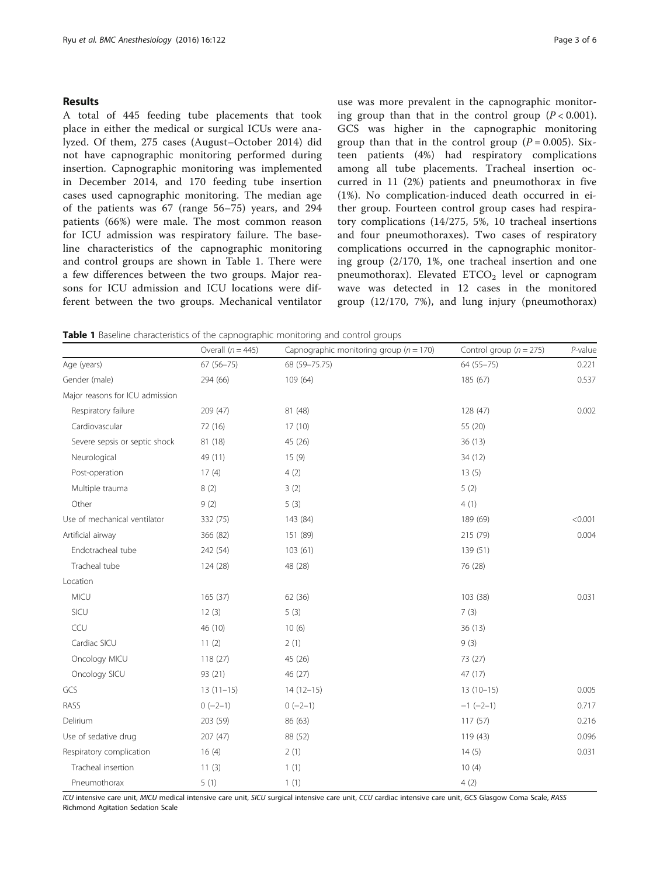#### Results

A total of 445 feeding tube placements that took place in either the medical or surgical ICUs were analyzed. Of them, 275 cases (August–October 2014) did not have capnographic monitoring performed during insertion. Capnographic monitoring was implemented in December 2014, and 170 feeding tube insertion cases used capnographic monitoring. The median age of the patients was 67 (range 56–75) years, and 294 patients (66%) were male. The most common reason for ICU admission was respiratory failure. The baseline characteristics of the capnographic monitoring and control groups are shown in Table 1. There were a few differences between the two groups. Major reasons for ICU admission and ICU locations were different between the two groups. Mechanical ventilator use was more prevalent in the capnographic monitoring group than that in the control group  $(P < 0.001)$ . GCS was higher in the capnographic monitoring group than that in the control group  $(P = 0.005)$ . Sixteen patients (4%) had respiratory complications among all tube placements. Tracheal insertion occurred in 11 (2%) patients and pneumothorax in five (1%). No complication-induced death occurred in either group. Fourteen control group cases had respiratory complications (14/275, 5%, 10 tracheal insertions and four pneumothoraxes). Two cases of respiratory complications occurred in the capnographic monitoring group (2/170, 1%, one tracheal insertion and one pneumothorax). Elevated  $ETCO<sub>2</sub>$  level or capnogram

wave was detected in 12 cases in the monitored group (12/170, 7%), and lung injury (pneumothorax)

**Table 1** Baseline characteristics of the capnographic monitoring and control groups

|                                 | Overall $(n = 445)$ | Capnographic monitoring group ( $n = 170$ ) | Control group ( $n = 275$ ) | $P$ -value |
|---------------------------------|---------------------|---------------------------------------------|-----------------------------|------------|
| Age (years)                     | $67(56 - 75)$       | 68 (59-75.75)                               | $64(55 - 75)$               | 0.221      |
| Gender (male)                   | 294 (66)            | 109 (64)                                    | 185 (67)                    | 0.537      |
| Major reasons for ICU admission |                     |                                             |                             |            |
| Respiratory failure             | 209 (47)            | 81 (48)                                     | 128 (47)                    | 0.002      |
| Cardiovascular                  | 72 (16)             | 17(10)                                      | 55 (20)                     |            |
| Severe sepsis or septic shock   | 81 (18)             | 45 (26)                                     | 36(13)                      |            |
| Neurological                    | 49 (11)             | 15(9)                                       | 34 (12)                     |            |
| Post-operation                  | 17(4)               | 4(2)                                        | 13(5)                       |            |
| Multiple trauma                 | 8(2)                | 3(2)                                        | 5(2)                        |            |
| Other                           | 9(2)                | 5(3)                                        | 4(1)                        |            |
| Use of mechanical ventilator    | 332 (75)            | 143 (84)                                    | 189 (69)                    | < 0.001    |
| Artificial airway               | 366 (82)            | 151 (89)                                    | 215 (79)                    | 0.004      |
| Endotracheal tube               | 242 (54)            | 103(61)                                     | 139 (51)                    |            |
| Tracheal tube                   | 124 (28)            | 48 (28)                                     | 76 (28)                     |            |
| Location                        |                     |                                             |                             |            |
| <b>MICU</b>                     | 165 (37)            | 62 (36)                                     | 103 (38)                    | 0.031      |
| SICU                            | 12(3)               | 5(3)                                        | 7(3)                        |            |
| CCU                             | 46 (10)             | 10(6)                                       | 36(13)                      |            |
| Cardiac SICU                    | 11(2)               | 2(1)                                        | 9(3)                        |            |
| Oncology MICU                   | 118(27)             | 45 (26)                                     | 73 (27)                     |            |
| Oncology SICU                   | 93 (21)             | 46 (27)                                     | 47 (17)                     |            |
| GCS                             | $13(11-15)$         | $14(12-15)$                                 | $13(10-15)$                 | 0.005      |
| RASS                            | $0(-2-1)$           | $0(-2-1)$                                   | $-1$ $(-2-1)$               | 0.717      |
| Delirium                        | 203 (59)            | 86 (63)                                     | 117(57)                     | 0.216      |
| Use of sedative drug            | 207 (47)            | 88 (52)                                     | 119 (43)                    | 0.096      |
| Respiratory complication        | 16(4)               | 2(1)                                        | 14(5)                       | 0.031      |
| Tracheal insertion              | 11(3)               | 1(1)                                        | 10(4)                       |            |
| Pneumothorax                    | 5(1)                | 1(1)                                        | 4(2)                        |            |

ICU intensive care unit, MICU medical intensive care unit, SICU surgical intensive care unit, CCU cardiac intensive care unit, GCS Glasgow Coma Scale, RASS Richmond Agitation Sedation Scale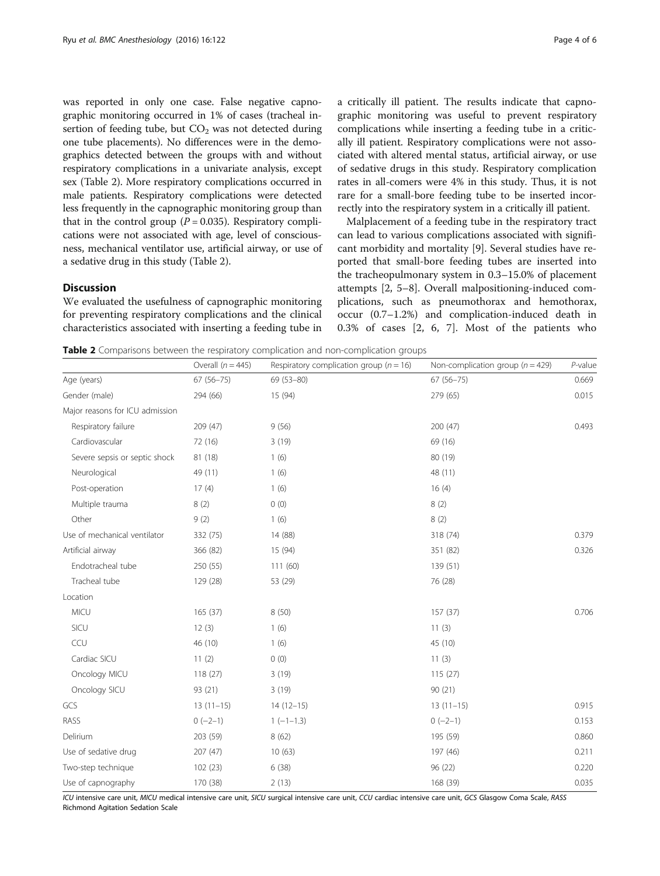was reported in only one case. False negative capnographic monitoring occurred in 1% of cases (tracheal insertion of feeding tube, but  $CO<sub>2</sub>$  was not detected during one tube placements). No differences were in the demographics detected between the groups with and without respiratory complications in a univariate analysis, except sex (Table 2). More respiratory complications occurred in male patients. Respiratory complications were detected less frequently in the capnographic monitoring group than that in the control group ( $P = 0.035$ ). Respiratory complications were not associated with age, level of consciousness, mechanical ventilator use, artificial airway, or use of a sedative drug in this study (Table 2).

#### **Discussion**

We evaluated the usefulness of capnographic monitoring for preventing respiratory complications and the clinical characteristics associated with inserting a feeding tube in a critically ill patient. The results indicate that capnographic monitoring was useful to prevent respiratory complications while inserting a feeding tube in a critically ill patient. Respiratory complications were not associated with altered mental status, artificial airway, or use of sedative drugs in this study. Respiratory complication rates in all-comers were 4% in this study. Thus, it is not rare for a small-bore feeding tube to be inserted incorrectly into the respiratory system in a critically ill patient.

Malplacement of a feeding tube in the respiratory tract can lead to various complications associated with significant morbidity and mortality [\[9](#page-5-0)]. Several studies have reported that small-bore feeding tubes are inserted into the tracheopulmonary system in 0.3–15.0% of placement attempts [\[2](#page-5-0), [5](#page-5-0)–[8\]](#page-5-0). Overall malpositioning-induced complications, such as pneumothorax and hemothorax, occur (0.7–1.2%) and complication-induced death in 0.3% of cases [[2, 6](#page-5-0), [7\]](#page-5-0). Most of the patients who

Table 2 Comparisons between the respiratory complication and non-complication groups

|                                 | Overall $(n = 445)$ | Respiratory complication group ( $n = 16$ ) | Non-complication group ( $n = 429$ ) | $P$ -value |
|---------------------------------|---------------------|---------------------------------------------|--------------------------------------|------------|
| Age (years)                     | $67(56 - 75)$       | 69 (53-80)                                  | $67(56 - 75)$                        | 0.669      |
| Gender (male)                   | 294 (66)            | 15 (94)                                     | 279 (65)                             | 0.015      |
| Major reasons for ICU admission |                     |                                             |                                      |            |
| Respiratory failure             | 209 (47)            | 9(56)                                       | 200(47)                              | 0.493      |
| Cardiovascular                  | 72 (16)             | 3(19)                                       | 69 (16)                              |            |
| Severe sepsis or septic shock   | 81 (18)             | 1(6)                                        | 80 (19)                              |            |
| Neurological                    | 49 (11)             | 1(6)                                        | 48 (11)                              |            |
| Post-operation                  | 17(4)               | 1(6)                                        | 16(4)                                |            |
| Multiple trauma                 | 8(2)                | 0(0)                                        | 8(2)                                 |            |
| Other                           | 9(2)                | 1(6)                                        | 8(2)                                 |            |
| Use of mechanical ventilator    | 332 (75)            | 14 (88)                                     | 318 (74)                             | 0.379      |
| Artificial airway               | 366 (82)            | 15 (94)                                     | 351 (82)                             | 0.326      |
| Endotracheal tube               | 250 (55)            | 111(60)                                     | 139 (51)                             |            |
| Tracheal tube                   | 129 (28)            | 53 (29)                                     | 76 (28)                              |            |
| Location                        |                     |                                             |                                      |            |
| <b>MICU</b>                     | 165 (37)            | 8(50)                                       | 157 (37)                             | 0.706      |
| SICU                            | 12(3)               | 1(6)                                        | 11(3)                                |            |
| CCU                             | 46 (10)             | 1(6)                                        | 45 (10)                              |            |
| Cardiac SICU                    | 11(2)               | 0(0)                                        | 11(3)                                |            |
| Oncology MICU                   | 118(27)             | 3(19)                                       | 115(27)                              |            |
| Oncology SICU                   | 93 (21)             | 3(19)                                       | 90(21)                               |            |
| GCS                             | $13(11-15)$         | $14(12-15)$                                 | $13(11-15)$                          | 0.915      |
| RASS                            | $0(-2-1)$           | $1(-1-1.3)$                                 | $0(-2-1)$                            | 0.153      |
| Delirium                        | 203 (59)            | 8(62)                                       | 195 (59)                             | 0.860      |
| Use of sedative drug            | 207 (47)            | 10(63)                                      | 197 (46)                             | 0.211      |
| Two-step technique              | 102 (23)            | 6(38)                                       | 96 (22)                              | 0.220      |
| Use of capnography              | 170 (38)            | 2(13)                                       | 168 (39)                             | 0.035      |

ICU intensive care unit, MICU medical intensive care unit, SICU surgical intensive care unit, CCU cardiac intensive care unit, GCS Glasgow Coma Scale, RASS Richmond Agitation Sedation Scale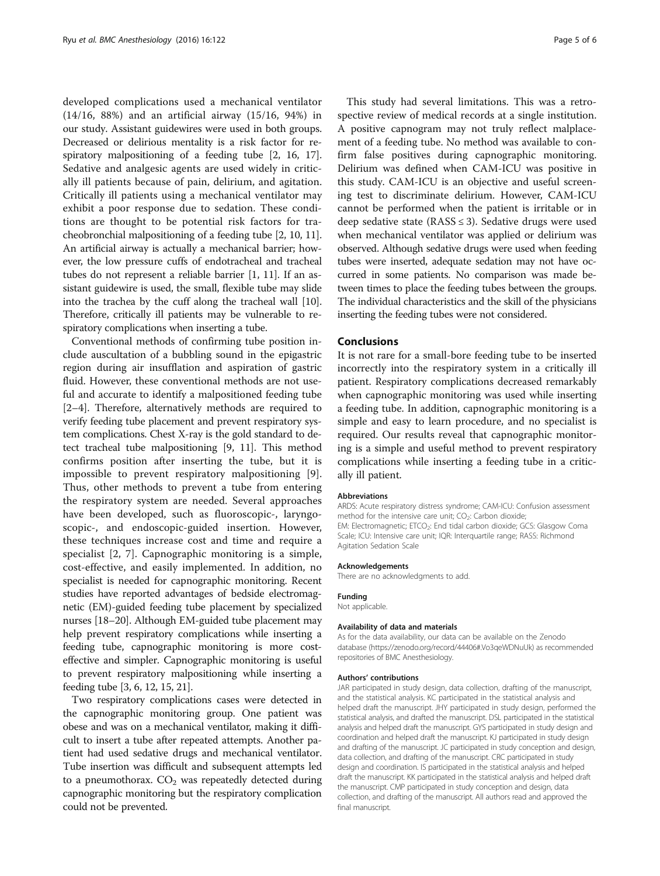developed complications used a mechanical ventilator (14/16, 88%) and an artificial airway (15/16, 94%) in our study. Assistant guidewires were used in both groups. Decreased or delirious mentality is a risk factor for respiratory malpositioning of a feeding tube [\[2, 16](#page-5-0), [17](#page-5-0)]. Sedative and analgesic agents are used widely in critically ill patients because of pain, delirium, and agitation. Critically ill patients using a mechanical ventilator may exhibit a poor response due to sedation. These conditions are thought to be potential risk factors for tracheobronchial malpositioning of a feeding tube [\[2](#page-5-0), [10, 11](#page-5-0)]. An artificial airway is actually a mechanical barrier; however, the low pressure cuffs of endotracheal and tracheal tubes do not represent a reliable barrier [\[1](#page-5-0), [11](#page-5-0)]. If an assistant guidewire is used, the small, flexible tube may slide into the trachea by the cuff along the tracheal wall [[10](#page-5-0)]. Therefore, critically ill patients may be vulnerable to respiratory complications when inserting a tube.

Conventional methods of confirming tube position include auscultation of a bubbling sound in the epigastric region during air insufflation and aspiration of gastric fluid. However, these conventional methods are not useful and accurate to identify a malpositioned feeding tube [[2](#page-5-0)–[4\]](#page-5-0). Therefore, alternatively methods are required to verify feeding tube placement and prevent respiratory system complications. Chest X-ray is the gold standard to detect tracheal tube malpositioning [\[9](#page-5-0), [11](#page-5-0)]. This method confirms position after inserting the tube, but it is impossible to prevent respiratory malpositioning [\[9](#page-5-0)]. Thus, other methods to prevent a tube from entering the respiratory system are needed. Several approaches have been developed, such as fluoroscopic-, laryngoscopic-, and endoscopic-guided insertion. However, these techniques increase cost and time and require a specialist [[2, 7](#page-5-0)]. Capnographic monitoring is a simple, cost-effective, and easily implemented. In addition, no specialist is needed for capnographic monitoring. Recent studies have reported advantages of bedside electromagnetic (EM)-guided feeding tube placement by specialized nurses [\[18](#page-5-0)–[20](#page-5-0)]. Although EM-guided tube placement may help prevent respiratory complications while inserting a feeding tube, capnographic monitoring is more costeffective and simpler. Capnographic monitoring is useful to prevent respiratory malpositioning while inserting a feeding tube [[3](#page-5-0), [6](#page-5-0), [12](#page-5-0), [15, 21\]](#page-5-0).

Two respiratory complications cases were detected in the capnographic monitoring group. One patient was obese and was on a mechanical ventilator, making it difficult to insert a tube after repeated attempts. Another patient had used sedative drugs and mechanical ventilator. Tube insertion was difficult and subsequent attempts led to a pneumothorax.  $CO<sub>2</sub>$  was repeatedly detected during capnographic monitoring but the respiratory complication could not be prevented.

This study had several limitations. This was a retrospective review of medical records at a single institution. A positive capnogram may not truly reflect malplacement of a feeding tube. No method was available to confirm false positives during capnographic monitoring. Delirium was defined when CAM-ICU was positive in this study. CAM-ICU is an objective and useful screening test to discriminate delirium. However, CAM-ICU cannot be performed when the patient is irritable or in deep sedative state (RASS  $\leq$  3). Sedative drugs were used when mechanical ventilator was applied or delirium was observed. Although sedative drugs were used when feeding tubes were inserted, adequate sedation may not have occurred in some patients. No comparison was made between times to place the feeding tubes between the groups. The individual characteristics and the skill of the physicians inserting the feeding tubes were not considered.

### Conclusions

It is not rare for a small-bore feeding tube to be inserted incorrectly into the respiratory system in a critically ill patient. Respiratory complications decreased remarkably when capnographic monitoring was used while inserting a feeding tube. In addition, capnographic monitoring is a simple and easy to learn procedure, and no specialist is required. Our results reveal that capnographic monitoring is a simple and useful method to prevent respiratory complications while inserting a feeding tube in a critically ill patient.

#### Abbreviations

ARDS: Acute respiratory distress syndrome; CAM-ICU: Confusion assessment method for the intensive care unit; CO<sub>2</sub>: Carbon dioxide; EM: Electromagnetic; ETCO<sub>2</sub>: End tidal carbon dioxide; GCS: Glasgow Coma Scale; ICU: Intensive care unit; IQR: Interquartile range; RASS: Richmond Agitation Sedation Scale

#### Acknowledgements

There are no acknowledgments to add.

#### Funding

Not applicable.

#### Availability of data and materials

As for the data availability, our data can be available on the Zenodo database (<https://zenodo.org/record/44406#.Vo3qeWDNuUk>) as recommended repositories of BMC Anesthesiology.

#### Authors' contributions

JAR participated in study design, data collection, drafting of the manuscript, and the statistical analysis. KC participated in the statistical analysis and helped draft the manuscript. JHY participated in study design, performed the statistical analysis, and drafted the manuscript. DSL participated in the statistical analysis and helped draft the manuscript. GYS participated in study design and coordination and helped draft the manuscript. KJ participated in study design and drafting of the manuscript. JC participated in study conception and design, data collection, and drafting of the manuscript. CRC participated in study design and coordination. IS participated in the statistical analysis and helped draft the manuscript. KK participated in the statistical analysis and helped draft the manuscript. CMP participated in study conception and design, data collection, and drafting of the manuscript. All authors read and approved the final manuscript.